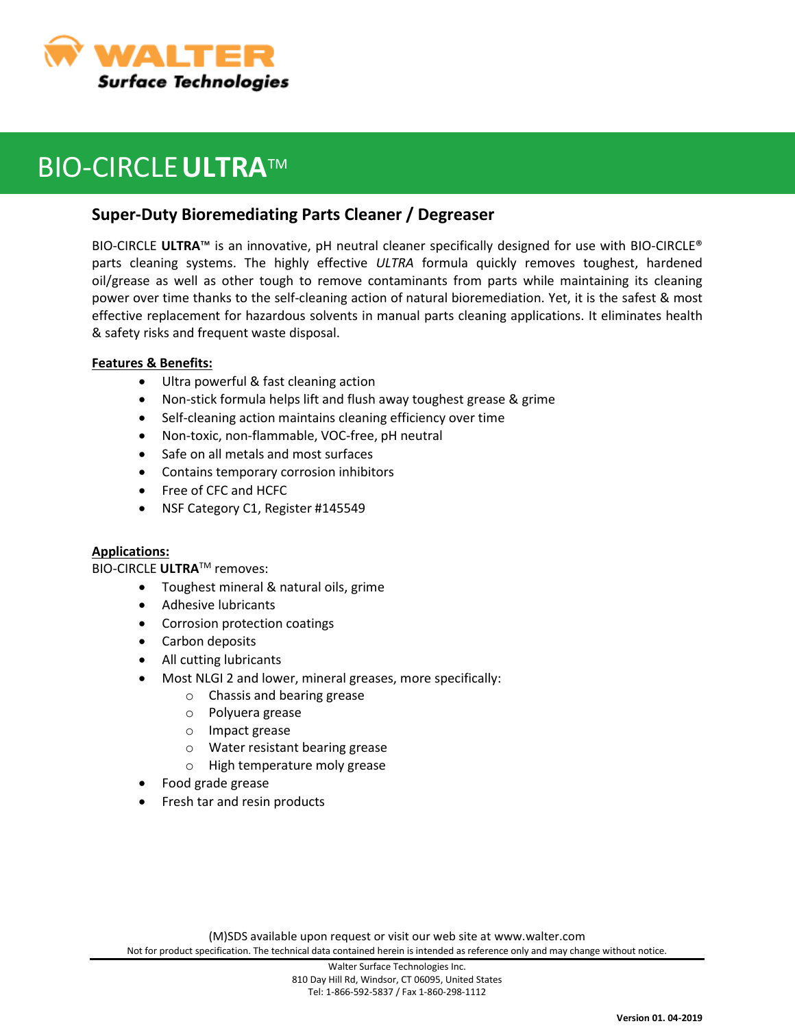

## BIO-CIRCLE**ULTRA**TM

### **Super-Duty Bioremediating Parts Cleaner / Degreaser**

BIO-CIRCLE **ULTRA**™ is an innovative, pH neutral cleaner specifically designed for use with BIO-CIRCLE® parts cleaning systems. The highly effective *ULTRA* formula quickly removes toughest, hardened oil/grease as well as other tough to remove contaminants from parts while maintaining its cleaning power over time thanks to the self-cleaning action of natural bioremediation. Yet, it is the safest & most effective replacement for hazardous solvents in manual parts cleaning applications. It eliminates health & safety risks and frequent waste disposal.

### **Features & Benefits:**

- Ultra powerful & fast cleaning action
- Non-stick formula helps lift and flush away toughest grease & grime
- Self-cleaning action maintains cleaning efficiency over time
- Non-toxic, non-flammable, VOC-free, pH neutral
- Safe on all metals and most surfaces
- Contains temporary corrosion inhibitors
- Free of CFC and HCFC
- NSF Category C1, Register #145549

### **Applications:**

BIO-CIRCLE **ULTRA**TM removes:

- Toughest mineral & natural oils, grime
- Adhesive lubricants
- Corrosion protection coatings
- Carbon deposits
- All cutting lubricants
- Most NLGI 2 and lower, mineral greases, more specifically:
	- o Chassis and bearing grease
	- o Polyuera grease
	- o Impact grease
	- o Water resistant bearing grease
	- o High temperature moly grease
- Food grade grease
- Fresh tar and resin products